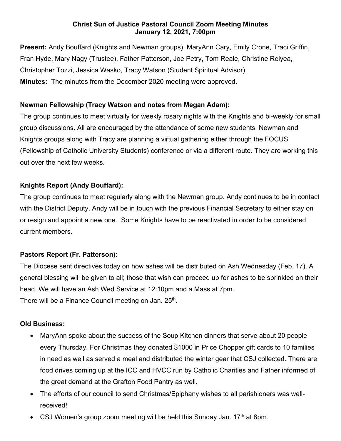#### **Christ Sun of Justice Pastoral Council Zoom Meeting Minutes January 12, 2021, 7:00pm**

**Present:** Andy Bouffard (Knights and Newman groups), MaryAnn Cary, Emily Crone, Traci Griffin, Fran Hyde, Mary Nagy (Trustee), Father Patterson, Joe Petry, Tom Reale, Christine Relyea, Christopher Tozzi, Jessica Wasko, Tracy Watson (Student Spiritual Advisor) **Minutes:** The minutes from the December 2020 meeting were approved.

# **Newman Fellowship (Tracy Watson and notes from Megan Adam):**

The group continues to meet virtually for weekly rosary nights with the Knights and bi-weekly for small group discussions. All are encouraged by the attendance of some new students. Newman and Knights groups along with Tracy are planning a virtual gathering either through the FOCUS (Fellowship of Catholic University Students) conference or via a different route. They are working this out over the next few weeks.

# **Knights Report (Andy Bouffard):**

The group continues to meet regularly along with the Newman group. Andy continues to be in contact with the District Deputy. Andy will be in touch with the previous Financial Secretary to either stay on or resign and appoint a new one. Some Knights have to be reactivated in order to be considered current members.

# **Pastors Report (Fr. Patterson):**

The Diocese sent directives today on how ashes will be distributed on Ash Wednesday (Feb. 17). A general blessing will be given to all; those that wish can proceed up for ashes to be sprinkled on their head. We will have an Ash Wed Service at 12:10pm and a Mass at 7pm. There will be a Finance Council meeting on Jan. 25<sup>th</sup>.

### **Old Business:**

- MaryAnn spoke about the success of the Soup Kitchen dinners that serve about 20 people every Thursday. For Christmas they donated \$1000 in Price Chopper gift cards to 10 families in need as well as served a meal and distributed the winter gear that CSJ collected. There are food drives coming up at the ICC and HVCC run by Catholic Charities and Father informed of the great demand at the Grafton Food Pantry as well.
- The efforts of our council to send Christmas/Epiphany wishes to all parishioners was wellreceived!
- CSJ Women's group zoom meeting will be held this Sunday Jan.  $17<sup>th</sup>$  at 8pm.